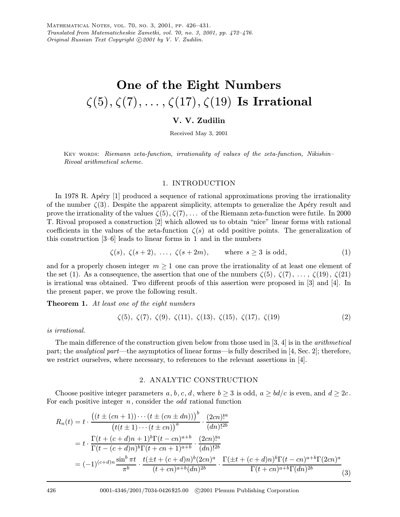# One of the Eight Numbers  $\zeta(5), \zeta(7), \ldots, \zeta(17), \zeta(19)$  Is Irrational

## V. V. Zudilin

Received May 3, 2001

Key words: Riemann zeta-function, irrationality of values of the zeta-function, Nikishin– Rivoal arithmetical scheme.

### 1. INTRODUCTION

In 1978 R. Apéry [1] produced a sequence of rational approximations proving the irrationality of the number  $\zeta(3)$ . Despite the apparent simplicity, attempts to generalize the Apéry result and prove the irrationality of the values  $\zeta(5), \zeta(7), \ldots$  of the Riemann zeta-function were futile. In 2000 T. Rivoal proposed a construction [2] which allowed us to obtain "nice" linear forms with rational coefficients in the values of the zeta-function  $\zeta(s)$  at odd positive points. The generalization of this construction [3–6] leads to linear forms in 1 and in the numbers

$$
\zeta(s), \ \zeta(s+2), \ \ldots, \ \zeta(s+2m), \qquad \text{where } s \ge 3 \text{ is odd}, \tag{1}
$$

and for a properly chosen integer  $m \geq 1$  one can prove the irrationality of at least one element of the set (1). As a consequence, the assertion that one of the numbers  $\zeta(5)$ ,  $\zeta(7)$ , ...,  $\zeta(19)$ ,  $\zeta(21)$ is irrational was obtained. Two different proofs of this assertion were proposed in [3] and [4]. In the present paper, we prove the following result.

**Theorem 1.** At least one of the eight numbers

$$
\zeta(5), \zeta(7), \zeta(9), \zeta(11), \zeta(13), \zeta(15), \zeta(17), \zeta(19) \tag{2}
$$

is irrational.

The main difference of the construction given below from those used in [3, 4] is in the *arithmetical* part; the analytical part—the asymptotics of linear forms—is fully described in [4, Sec. 2]; therefore, we restrict ourselves, where necessary, to references to the relevant assertions in [4].

#### 2. ANALYTIC CONSTRUCTION

Choose positive integer parameters a, b, c, d, where  $b \geq 3$  is odd,  $a \geq bd/c$  is even, and  $d \geq 2c$ . For each positive integer  $n$ , consider the *odd* rational function

$$
R_n(t) = t \cdot \frac{\left( (t \pm (cn+1)) \cdots (t \pm (cn \pm dn)) \right)^b}{\left( t(t \pm 1) \cdots (t \pm cn) \right)^a} \cdot \frac{(2cn)!^a}{(dn)!^{2b}}
$$
  
=  $t \cdot \frac{\Gamma(t + (c + d)n + 1)^b \Gamma(t - cn)^{a+b}}{\Gamma(t - (c + d)n)^b \Gamma(t + cn + 1)^{a+b}} \cdot \frac{(2cn)!^a}{(dn)!^{2b}}$   
=  $(-1)^{(c+d)n} \frac{\sin^b \pi t}{\pi^b} \cdot \frac{t(\pm t + (c + d)n)^b (2cn)^a}{(t + cn)^{a+b} (dn)^{2b}} \cdot \frac{\Gamma(\pm t + (c + d)n)^b \Gamma(t - cn)^{a+b} \Gamma(2cn)^a}{\Gamma(t + cn)^{a+b} \Gamma(dn)^{2b}}$ (3)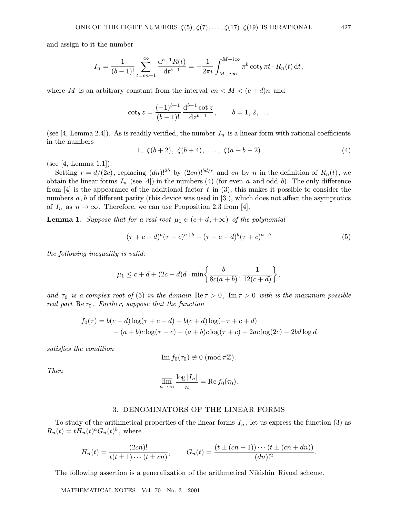and assign to it the number

$$
I_n = \frac{1}{(b-1)!} \sum_{t=cn+1}^{\infty} \frac{d^{b-1}R(t)}{dt^{b-1}} = -\frac{1}{2\pi i} \int_{M-i\infty}^{M+i\infty} \pi^b \cot_b \pi t \cdot R_n(t) dt,
$$

where M is an arbitrary constant from the interval  $cn < M < (c+d)n$  and

$$
\cot_b z = \frac{(-1)^{b-1}}{(b-1)!} \frac{d^{b-1} \cot z}{dz^{b-1}}, \qquad b = 1, 2, \dots
$$

(see [4, Lemma 2.4]). As is readily verified, the number  $I_n$  is a linear form with rational coefficients in the numbers

$$
1, \zeta(b+2), \zeta(b+4), \ldots, \zeta(a+b-2) \tag{4}
$$

(see [4, Lemma 1.1]).

Setting  $r = d/(2c)$ , replacing  $(dn)!^{2b}$  by  $(2cn)!^{bd/c}$  and cn by n in the definition of  $R_n(t)$ , we obtain the linear forms  $I_n$  (see [4]) in the numbers (4) (for even a and odd b). The only difference from [4] is the appearance of the additional factor t in (3); this makes it possible to consider the numbers  $a, b$  of different parity (this device was used in [3]), which does not affect the asymptotics of  $I_n$  as  $n \to \infty$ . Therefore, we can use Proposition 2.3 from [4].

**Lemma 1.** Suppose that for a real root  $\mu_1 \in (c+d, +\infty)$  of the polynomial

$$
(\tau + c + d)^{b}(\tau - c)^{a+b} - (\tau - c - d)^{b}(\tau + c)^{a+b}
$$
\n(5)

the following inequality is valid:

$$
\mu_1 \le c + d + (2c + d)d \cdot \min\left\{\frac{b}{8c(a+b)}, \frac{1}{12(c+d)}\right\},\
$$

and  $\tau_0$  is a complex root of (5) in the domain  $\text{Re}\,\tau > 0$ ,  $\text{Im}\,\tau > 0$  with is the maximum possible real part  $\text{Re}\,\tau_0$ . Further, suppose that the function

$$
f_0(\tau) = b(c+d) \log(\tau + c + d) + b(c+d) \log(-\tau + c + d)
$$
  
-  $(a+b)c \log(\tau - c) - (a+b)c \log(\tau + c) + 2ac \log(2c) - 2bd \log d$ 

satisfies the condition

$$
\mathop{\rm Im}\nolimits f_0(\tau_0)\not\equiv 0\ (\mathop{\rm mod}\nolimits \pi\mathbb{Z}).
$$

Then

$$
\overline{\lim}_{n \to \infty} \frac{\log |I_n|}{n} = \text{Re}\, f_0(\tau_0).
$$

#### 3. DENOMINATORS OF THE LINEAR FORMS

To study of the arithmetical properties of the linear forms  $I_n$ , let us express the function (3) as  $R_n(t) = tH_n(t)^a G_n(t)^b$ , where

$$
H_n(t) = \frac{(2cn)!}{t(t \pm 1)\cdots(t \pm cn)}, \qquad G_n(t) = \frac{(t \pm (cn+1))\cdots(t \pm (cn+dn))}{(dn)!^2}.
$$

The following assertion is a generalization of the arithmetical Nikishin–Rivoal scheme.

MATHEMATICAL NOTES Vol. 70 No. 3 2001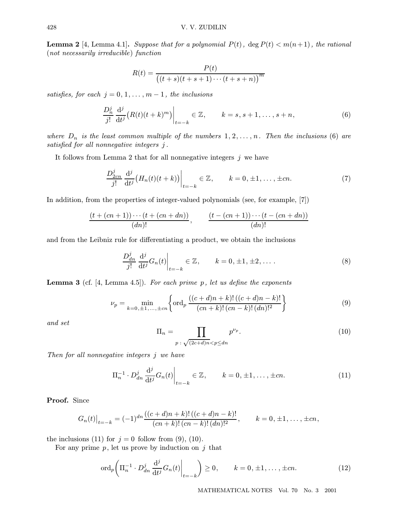**Lemma 2** [4, Lemma 4.1]. Suppose that for a polynomial  $P(t)$ , deg  $P(t) < m(n+1)$ , the rational (not necessarily irreducible) function

$$
R(t) = \frac{P(t)}{((t+s)(t+s+1)\cdots(t+s+n))^{m}}
$$

satisfies, for each  $j = 0, 1, \ldots, m - 1$ , the inclusions

$$
\frac{D_n^j}{j!} \frac{\mathrm{d}^j}{\mathrm{d}t^j} \big( R(t)(t+k)^m \big) \big|_{t=-k} \in \mathbb{Z}, \qquad k=s, s+1, \dots, s+n,\tag{6}
$$

where  $D_n$  is the least common multiple of the numbers  $1, 2, \ldots, n$ . Then the inclusions (6) are satisfied for all nonnegative integers j .

It follows from Lemma 2 that for all nonnegative integers  $j$  we have

$$
\frac{D_{2cn}^j}{j!} \frac{\mathrm{d}^j}{\mathrm{d}t^j} \big( H_n(t)(t+k) \big) \bigg|_{t=-k} \in \mathbb{Z}, \qquad k=0, \pm 1, \dots, \pm cn. \tag{7}
$$

In addition, from the properties of integer-valued polynomials (see, for example, [7])

$$
\frac{(t+(cn+1))\cdots(t+(cn+dn))}{(dn)!}, \qquad \frac{(t-(cn+1))\cdots(t-(cn+dn))}{(dn)!}
$$

and fromthe Leibniz rule for differentiating a product, we obtain the inclusions

$$
\frac{D_{dn}^j}{j!} \frac{\mathrm{d}^j}{\mathrm{d}t^j} G_n(t) \bigg|_{t=-k} \in \mathbb{Z}, \qquad k = 0, \pm 1, \pm 2, \dots \,.
$$
 (8)

**Lemma 3** (cf.  $[4, \text{Lemma } 4.5]$ ). For each prime p, let us define the exponents

$$
\nu_p = \min_{k=0,\pm 1,\dots,\pm cn} \left\{ \text{ord}_p \, \frac{((c+d)n+k)! \, ((c+d)n-k)!}{(cn+k)! \, (cn-k)! \, (dn)!^2} \right\} \tag{9}
$$

and set

$$
\Pi_n = \prod_{p \; : \; \sqrt{(2c+d)n} < p \leq dn} p^{\nu_p}.\tag{10}
$$

Then for all nonnegative integers j we have

$$
\Pi_n^{-1} \cdot D_{dn}^j \frac{\mathrm{d}^j}{\mathrm{d}t^j} G_n(t) \Big|_{t=-k} \in \mathbb{Z}, \qquad k = 0, \pm 1, \dots, \pm cn. \tag{11}
$$

Proof. Since

$$
G_n(t)|_{t=-k} = (-1)^{dn} \frac{((c+d)n+k)! ((c+d)n-k)!}{(cn+k)! (cn-k)! (dn)!^2}, \qquad k=0, \pm 1, \ldots, \pm cn,
$$

the inclusions (11) for  $j = 0$  follow from (9), (10).

For any prime  $p$ , let us prove by induction on  $j$  that

$$
\operatorname{ord}_p\bigg(\Pi_n^{-1}\cdot D_{dn}^j\frac{\mathrm{d}^j}{\mathrm{d}t^j}G_n(t)\bigg|_{t=-k}\bigg)\geq 0, \qquad k=0,\pm 1,\ldots,\pm cn. \tag{12}
$$

MATHEMATICAL NOTES Vol. 70 No. 3 2001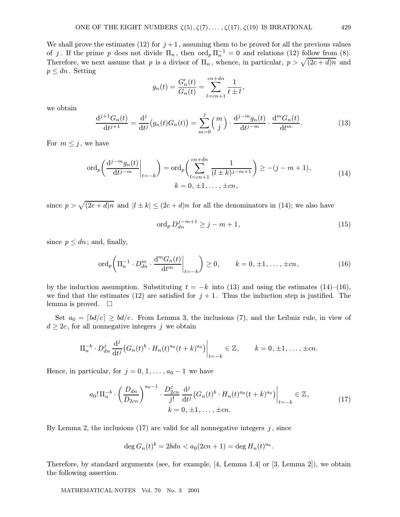We shall prove the estimates (12) for  $j+1$ , assuming them to be proved for all the previous values of j. If the prime p does not divide  $\Pi_n$ , then  $\text{ord}_p \Pi_n^{-1} = 0$  and relations (12) follow from (8). Therefore, we next assume that p is a divisor of  $\Pi_n$ , whence, in particular,  $p > \sqrt{(2c+d)n}$  and  $p \leq dn$ . Setting

$$
g_n(t) = \frac{G'_n(t)}{G_n(t)} = \sum_{l=cn+1}^{cn+dn} \frac{1}{t \pm l},
$$

we obtain

$$
\frac{d^{j+1}G_n(t)}{dt^{j+1}} = \frac{d^j}{dt^j} (g_n(t)G_n(t)) = \sum_{m=0}^j \binom{m}{j} \cdot \frac{d^{j-m}g_n(t)}{dt^{j-m}} \cdot \frac{d^mG_n(t)}{dt^m}.
$$
(13)

For  $m \leq j$ , we have

$$
\operatorname{ord}_p\left(\frac{\mathrm{d}^{j-m}g_n(t)}{\mathrm{d}t^{j-m}}\bigg|_{t=-k}\right) = \operatorname{ord}_p\left(\sum_{l=cn+1}^{cn+dn} \frac{1}{(l\pm k)^{j-m+1}}\right) \ge -(j-m+1),
$$
\n
$$
k = 0, \pm 1, \dots, \pm cn,
$$
\n(14)

since  $p > \sqrt{(2c + d)n}$  and  $|l \pm k| \le (2c + d)n$  for all the denominators in (14); we also have

$$
\operatorname{ord}_p D_{dn}^{j-m+1} \ge j-m+1,\tag{15}
$$

since  $p \leq dn$ ; and, finally,

$$
\operatorname{ord}_p\bigg(\Pi_n^{-1}\cdot D_{dn}^m\cdot \frac{\mathrm{d}^m G_n(t)}{\mathrm{d}t^m}\bigg|_{t=-k}\bigg) \ge 0, \qquad k=0,\pm 1,\ldots,\pm cn,\tag{16}
$$

by the induction assumption. Substituting  $t = -k$  into (13) and using the estimates (14)–(16), we find that the estimates (12) are satisfied for  $j + 1$ . Thus the induction step is justified. The lemma is proved.  $\square$ 

Set  $a_0 = \lfloor bd/c \rfloor \ge bd/c$ . From Lemma 3, the inclusions (7), and the Leibniz rule, in view of  $d \geq 2c$ , for all nonnegative integers j we obtain

$$
\Pi_n^{-b} \cdot D_{dn}^j \frac{\mathrm{d}^j}{\mathrm{d}t^j} \big( G_n(t)^b \cdot H_n(t)^{a_0} (t+k)^{a_0} \big) \Big|_{t=-k} \in \mathbb{Z}, \qquad k=0, \pm 1, \ldots, \pm cn.
$$

Hence, in particular, for  $j = 0, 1, \ldots, a_0 - 1$  we have

$$
a_0! \Pi_n^{-b} \cdot \left(\frac{D_{dn}}{D_{2cn}}\right)^{a_0-1} \cdot \frac{D_{2cn}^j}{j!} \frac{d^j}{dt^j} \left(G_n(t)^b \cdot H_n(t)^{a_0} (t+k)^{a_0}\right)\Big|_{t=-k} \in \mathbb{Z},
$$
  
\n
$$
k = 0, \pm 1, \dots, \pm cn.
$$
\n(17)

By Lemma 2, the inclusions  $(17)$  are valid for all nonnegative integers j, since

$$
\deg G_n(t)^b = 2bdn < a_0(2cn+1) = \deg H_n(t)^{a_0}.
$$

Therefore, by standard arguments (see, for example, [4, Lemma 1.4] or [3, Lemma 2]), we obtain the following assertion.

MATHEMATICAL NOTES Vol. 70 No. 3 2001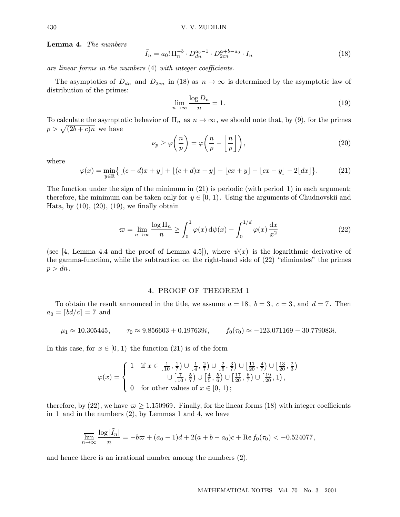Lemma 4. The numbers

$$
\tilde{I}_n = a_0! \Pi_n^{-b} \cdot D_{dn}^{a_0 - 1} \cdot D_{2cn}^{a + b - a_0} \cdot I_n \tag{18}
$$

are linear forms in the numbers (4) with integer coefficients.

The asymptotics of  $D_{dn}$  and  $D_{2cn}$  in (18) as  $n \to \infty$  is determined by the asymptotic law of distribution of the primes:

$$
\lim_{n \to \infty} \frac{\log D_n}{n} = 1. \tag{19}
$$

To calculate the asymptotic behavior of  $\Pi_n$  as  $n \to \infty$ , we should note that, by (9), for the primes  $p > \sqrt{(2b+c)n}$  we have

$$
\nu_p \ge \varphi\left(\frac{n}{p}\right) = \varphi\left(\frac{n}{p} - \left\lfloor \frac{n}{p} \right\rfloor\right),\tag{20}
$$

where

$$
\varphi(x) = \min_{y \in \mathbb{R}} \left\{ \lfloor (c+d)x + y \rfloor + \lfloor (c+d)x - y \rfloor - \lfloor cx + y \rfloor - \lfloor cx - y \rfloor - 2\lfloor dx \rfloor \right\}.
$$
 (21)

The function under the sign of the minimum in  $(21)$  is periodic (with period 1) in each argument; therefore, the minimum can be taken only for  $y \in [0, 1)$ . Using the arguments of Chudnovskii and Hata, by  $(10)$ ,  $(20)$ ,  $(19)$ , we finally obtain

$$
\varpi = \lim_{n \to \infty} \frac{\log \Pi_n}{n} \ge \int_0^1 \varphi(x) \, d\psi(x) - \int_0^{1/d} \varphi(x) \, \frac{dx}{x^2} \tag{22}
$$

(see [4, Lemma 4.4 and the proof of Lemma 4.5]), where  $\psi(x)$  is the logarithmic derivative of the gamma-function, while the subtraction on the right-hand side of (22) "eliminates" the primes  $p > dn$ .

#### 4. PROOF OF THEOREM 1

To obtain the result announced in the title, we assume  $a = 18$ ,  $b = 3$ ,  $c = 3$ , and  $d = 7$ . Then  $a_0 = \lfloor bd/c \rfloor = 7$  and

$$
\mu_1 \approx 10.305445
$$
,  $\tau_0 \approx 9.856603 + 0.197639i$ ,  $f_0(\tau_0) \approx -123.071169 - 30.779083i$ .

In this case, for  $x \in [0, 1)$  the function (21) is of the form

$$
\varphi(x) = \begin{cases} 1 & \text{if } x \in \left[\frac{1}{10}, \frac{1}{7}\right) \cup \left[\frac{1}{4}, \frac{2}{7}\right) \cup \left[\frac{2}{5}, \frac{3}{7}\right) \cup \left[\frac{11}{20}, \frac{4}{7}\right) \cup \left[\frac{13}{20}, \frac{2}{3}\right) \\ & \cup \left[\frac{7}{10}, \frac{5}{7}\right) \cup \left[\frac{4}{5}, \frac{5}{6}\right) \cup \left[\frac{17}{20}, \frac{6}{7}\right) \cup \left[\frac{19}{20}, 1\right), \\ 0 & \text{for other values of } x \in [0, 1); \end{cases}
$$

therefore, by (22), we have  $\varpi \ge 1.150969$ . Finally, for the linear forms (18) with integer coefficients in 1 and in the numbers (2), by Lemmas 1 and 4, we have

$$
\overline{\lim}_{n \to \infty} \frac{\log |\tilde{I}_n|}{n} = -b\varpi + (a_0 - 1)d + 2(a + b - a_0)c + \text{Re } f_0(\tau_0) < -0.524077,
$$

and hence there is an irrational number among the numbers (2).